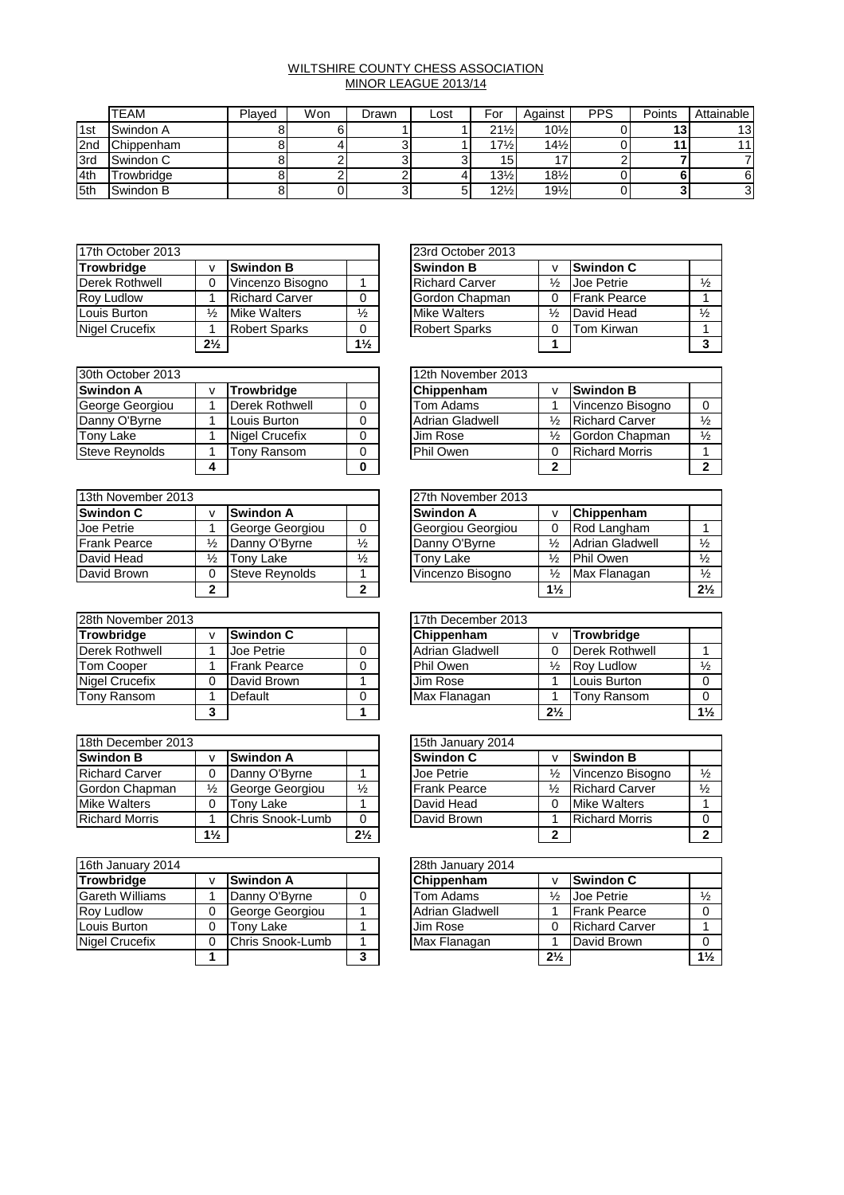## WILTSHIRE COUNTY CHESS ASSOCIATION MINOR LEAGUE 2013/14

|                 | <b>TEAM</b>       | Plaved | Won | Drawn | Lost | For             | Against         | <b>PPS</b> | Points | Attainable |
|-----------------|-------------------|--------|-----|-------|------|-----------------|-----------------|------------|--------|------------|
| <sup>1</sup> st | Swindon A         |        |     |       |      | $21\frac{1}{2}$ | $10\frac{1}{2}$ |            | 13     | 13         |
| 2nd             | Chippenham        |        |     |       |      | $17\frac{1}{2}$ | $14\frac{1}{2}$ |            |        |            |
| 3rd             | Swindon C         |        |     |       |      | 15 <sup>1</sup> | , J             |            |        |            |
| 14th            | <b>Frowbridae</b> |        |     |       |      | $13\frac{1}{2}$ | $18\frac{1}{2}$ |            |        |            |
| 5th             | Swindon B         |        |     |       |      | $12\frac{1}{2}$ | $19\frac{1}{2}$ |            |        | 3          |

| 17th October 2013 |                |                       |                | 23rd October 2013     |               |                     |
|-------------------|----------------|-----------------------|----------------|-----------------------|---------------|---------------------|
| <b>Trowbridge</b> |                | <b>Swindon B</b>      |                | <b>Swindon B</b>      |               | <b>Swindon C</b>    |
| Derek Rothwell    |                | Vincenzo Bisogno      |                | <b>Richard Carver</b> | $\frac{1}{2}$ | <b>Joe Petrie</b>   |
| <b>Roy Ludlow</b> |                | <b>Richard Carver</b> | 0              | Gordon Chapman        |               | <b>Frank Pearce</b> |
| Louis Burton      | ⅓              | <b>Mike Walters</b>   | $\frac{1}{2}$  | <b>Mike Walters</b>   | ⅓             | David Head          |
| Nigel Crucefix    |                | <b>Robert Sparks</b>  | 0              | <b>Robert Sparks</b>  |               | <b>Tom Kirwan</b>   |
|                   | $2\frac{1}{2}$ |                       | $1\frac{1}{2}$ |                       |               |                     |

|                |                       |                | 23rd October 2013     |               |                     |               |
|----------------|-----------------------|----------------|-----------------------|---------------|---------------------|---------------|
| <b>V</b>       | <b>Swindon B</b>      |                | <b>Swindon B</b>      |               | <b>Swindon C</b>    |               |
| $\Omega$       | Vincenzo Bisogno      |                | <b>Richard Carver</b> | $\frac{1}{2}$ | Joe Petrie          | $\frac{1}{2}$ |
|                | <b>Richard Carver</b> |                | Gordon Chapman        |               | <b>Frank Pearce</b> |               |
| $\frac{1}{2}$  | <b>Mike Walters</b>   | $\frac{1}{2}$  | <b>Mike Walters</b>   | $\frac{1}{2}$ | David Head          | $\frac{1}{2}$ |
|                | <b>Robert Sparks</b>  |                | <b>Robert Sparks</b>  |               | Tom Kirwan          |               |
| $2\frac{1}{2}$ |                       | $1\frac{1}{2}$ |                       |               |                     | 2             |

| 30th October 2013     |   |                |   | 12th November 2013 |               |                       |
|-----------------------|---|----------------|---|--------------------|---------------|-----------------------|
| <b>Swindon A</b>      |   | Trowbridge     |   | Chippenham         |               | <b>Swindon B</b>      |
| George Georgiou       |   | Derek Rothwell | 0 | Tom Adams          |               | Vincenzo Bisogno      |
| Danny O'Byrne         |   | Louis Burton   | 0 | Adrian Gladwell    | ⅓             | <b>Richard Carver</b> |
| Tony Lake             |   | Nigel Crucefix | 0 | Jim Rose           | $\frac{1}{2}$ | Gordon Chapman        |
| <b>Steve Reynolds</b> |   | Tonv Ransom    | 0 | Phil Owen          | 0             | <b>Richard Morris</b> |
|                       | 4 |                | 0 |                    | າ             |                       |

| 13th November 2013  |               |                  | 27th November 2013 |                   |                |                        |  |
|---------------------|---------------|------------------|--------------------|-------------------|----------------|------------------------|--|
| <b>Swindon C</b>    |               | <b>Swindon A</b> |                    | Swindon A         |                | Chippenham             |  |
| Joe Petrie          |               | George Georgiou  |                    | Georgiou Georgiou |                | Rod Langham            |  |
| <b>Frank Pearce</b> |               | Danny O'Byrne    | $\frac{1}{2}$      | Danny O'Byrne     | $\frac{1}{2}$  | <b>Adrian Gladwell</b> |  |
| David Head          | $\frac{1}{2}$ | Tony Lake        | $\frac{1}{2}$      | Tony Lake         | $\frac{1}{2}$  | <b>Phil Owen</b>       |  |
| David Brown         |               | Steve Revnolds   |                    | Vincenzo Bisogno  | $\frac{1}{2}$  | Max Flanagan           |  |
|                     |               |                  | 2                  |                   | $1\frac{1}{2}$ |                        |  |

| 28th November 2013    |   |                     |  | 17th December 2013     |                |                       |
|-----------------------|---|---------------------|--|------------------------|----------------|-----------------------|
| <b>Trowbridge</b>     |   | <b>Swindon C</b>    |  | Chippenham             |                | Trowbridge            |
| Derek Rothwell        |   | <b>Joe Petrie</b>   |  | <b>Adrian Gladwell</b> |                | <b>Derek Rothwell</b> |
| <b>Tom Cooper</b>     |   | <b>Frank Pearce</b> |  | Phil Owen              | ⅓              | <b>Rov Ludlow</b>     |
| <b>Nigel Crucefix</b> |   | David Brown         |  | Jim Rose               |                | Louis Burton          |
| <b>Tony Ransom</b>    |   | Default             |  | Max Flanagan           |                | Tony Ransom           |
|                       | 3 |                     |  |                        | $2\frac{1}{2}$ |                       |

| 18th December 2013    |                |                  |                | 15th January 2014 |                     |               |                       |  |
|-----------------------|----------------|------------------|----------------|-------------------|---------------------|---------------|-----------------------|--|
| <b>Swindon B</b>      |                | <b>Swindon A</b> |                |                   | <b>Swindon C</b>    | ν             | <b>Swindon B</b>      |  |
| <b>Richard Carver</b> |                | Danny O'Byrne    |                |                   | Joe Petrie          | $\frac{1}{2}$ | Vincenzo Bisogno      |  |
| Gordon Chapman        | ⅓              | George Georgiou  | $\frac{1}{2}$  |                   | <b>Frank Pearce</b> | $\frac{1}{2}$ | <b>Richard Carver</b> |  |
| <b>Mike Walters</b>   | 0              | Tonv Lake        |                |                   | David Head          | 0             | <b>Mike Walters</b>   |  |
| <b>Richard Morris</b> |                | Chris Snook-Lumb | 0              |                   | David Brown         |               | <b>Richard Morris</b> |  |
|                       | $1\frac{1}{2}$ |                  | $2\frac{1}{2}$ |                   |                     | າ             |                       |  |

| 16th January 2014      |                  |   | 28th January 2014 |                |                       |  |  |
|------------------------|------------------|---|-------------------|----------------|-----------------------|--|--|
| <b>Trowbridge</b>      | <b>Swindon A</b> |   | Chippenham        |                | <b>Swindon C</b>      |  |  |
| <b>Gareth Williams</b> | Danny O'Byrne    |   | Tom Adams         | $\frac{1}{2}$  | Joe Petrie            |  |  |
| <b>Roy Ludlow</b>      | George Georgiou  |   | Adrian Gladwell   |                | <b>Frank Pearce</b>   |  |  |
| Louis Burton           | Tonv Lake        |   | Jim Rose          |                | <b>Richard Carver</b> |  |  |
| <b>Nigel Crucefix</b>  | Chris Snook-Lumb |   | Max Flanagan      |                | David Brown           |  |  |
|                        |                  | າ |                   | $2\frac{1}{2}$ |                       |  |  |

|   |                       | 12th November 2013     |   |                       |               |
|---|-----------------------|------------------------|---|-----------------------|---------------|
| v | <b>Trowbridge</b>     | Chippenham             |   | <b>Swindon B</b>      |               |
|   | Derek Rothwell        | Tom Adams              |   | Vincenzo Bisogno      |               |
|   | Louis Burton          | <b>Adrian Gladwell</b> | ⅓ | <b>Richard Carver</b> | $\frac{1}{2}$ |
|   | <b>Nigel Crucefix</b> | Jim Rose               | ⅓ | Gordon Chapman        | $\frac{1}{2}$ |
|   | Tonv Ransom           | Phil Owen              |   | <b>Richard Morris</b> |               |
| 4 |                       |                        | ◠ |                       |               |

|                |                       |               | 27th November 2013 |                |                        |                |
|----------------|-----------------------|---------------|--------------------|----------------|------------------------|----------------|
| v              | <b>Swindon A</b>      |               | <b>Swindon A</b>   |                | Chippenham             |                |
|                | George Georgiou       |               | Georgiou Georgiou  |                | Rod Langham            |                |
| ⅛              | Danny O'Byrne         | $\frac{1}{2}$ | Danny O'Byrne      | $\frac{1}{2}$  | <b>Adrian Gladwell</b> | $\frac{1}{2}$  |
| $\frac{1}{2}$  | Tony Lake             | $\frac{1}{2}$ | Tony Lake          | $\frac{1}{2}$  | Phil Owen              | $\frac{1}{2}$  |
| 0              | <b>Steve Reynolds</b> |               | Vincenzo Bisogno   | ⅓              | Max Flanagan           | $\frac{1}{2}$  |
| $\overline{2}$ |                       | າ             |                    | $1\frac{1}{2}$ |                        | $2\frac{1}{2}$ |

|   |                     |  | 17th December 2013     |                |                       |                |
|---|---------------------|--|------------------------|----------------|-----------------------|----------------|
| v | <b>Swindon C</b>    |  | Chippenham             |                | <b>Trowbridge</b>     |                |
|   | Joe Petrie          |  | <b>Adrian Gladwell</b> |                | <b>Derek Rothwell</b> |                |
|   | <b>Frank Pearce</b> |  | Phil Owen              | $\frac{1}{2}$  | <b>Rov Ludlow</b>     | $\frac{1}{2}$  |
| 0 | David Brown         |  | Jim Rose               |                | Louis Burton          |                |
|   | Default             |  | Max Flanagan           |                | Tony Ransom           |                |
| 3 |                     |  |                        | $2\frac{1}{2}$ |                       | $1\frac{1}{2}$ |

|                |                  |                | 15th January 2014   |   |                       |               |
|----------------|------------------|----------------|---------------------|---|-----------------------|---------------|
| <b>V</b>       | <b>Swindon A</b> |                | <b>Swindon C</b>    |   | <b>Swindon B</b>      |               |
| $\Omega$       | Danny O'Byrne    |                | Joe Petrie          | ⅓ | Vincenzo Bisogno      | $\frac{1}{2}$ |
| $\frac{1}{2}$  | George Georgiou  | $\frac{1}{2}$  | <b>Frank Pearce</b> | ⅓ | <b>Richard Carver</b> | $\frac{1}{2}$ |
|                | Tonv Lake        |                | David Head          |   | <b>Mike Walters</b>   |               |
|                | Chris Snook-Lumb |                | David Brown         |   | <b>Richard Morris</b> |               |
| $1\frac{1}{2}$ |                  | $2\frac{1}{2}$ |                     |   |                       |               |

|   |                  |   | 28th January 2014      |                |                       |                |
|---|------------------|---|------------------------|----------------|-----------------------|----------------|
| v | <b>Swindon A</b> |   | Chippenham             |                | <b>Swindon C</b>      |                |
|   | Danny O'Byrne    |   | Tom Adams              | ⅓              | Joe Petrie            | $\frac{1}{2}$  |
| 0 | George Georgiou  |   | <b>Adrian Gladwell</b> |                | <b>Frank Pearce</b>   |                |
| 0 | Tony Lake        |   | Jim Rose               |                | <b>Richard Carver</b> |                |
| 0 | Chris Snook-Lumb |   | Max Flanagan           |                | David Brown           |                |
| 1 |                  | 3 |                        | $2\frac{1}{2}$ |                       | $1\frac{1}{2}$ |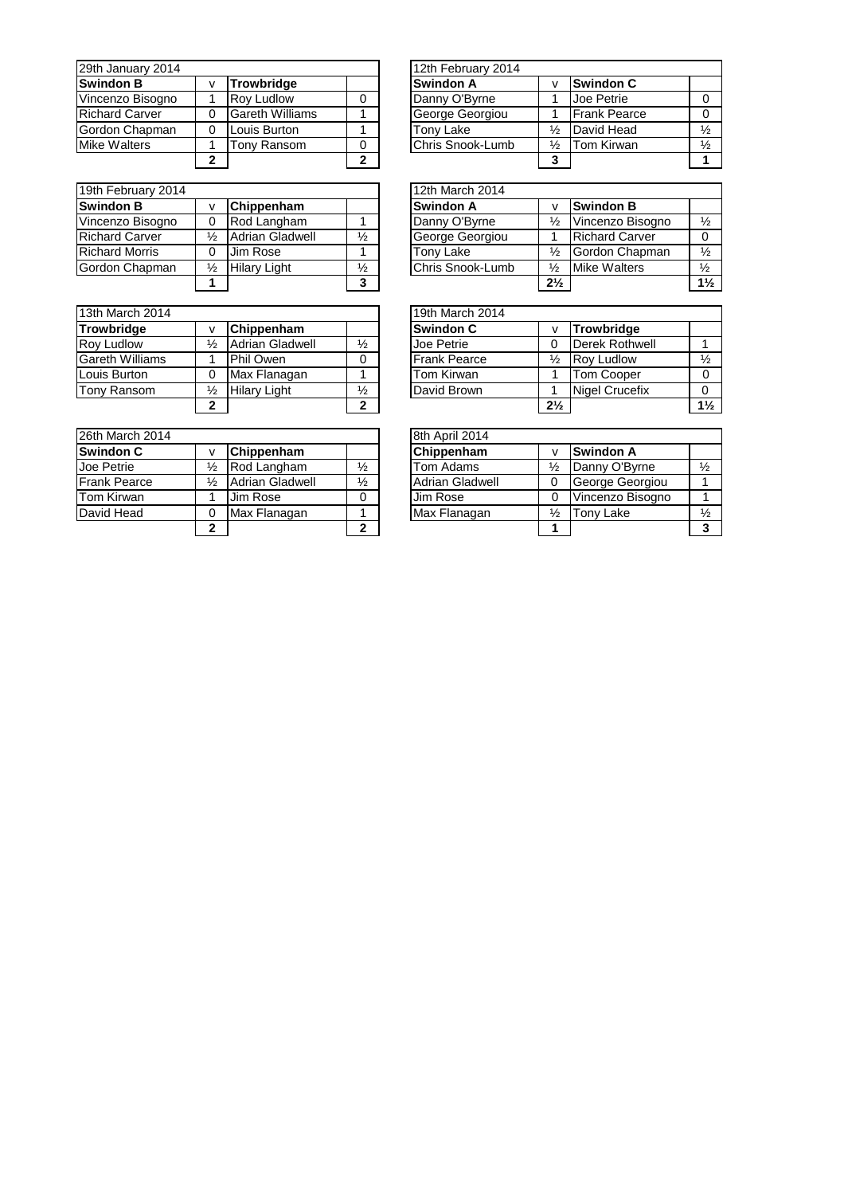| 29th January 2014     |   |                        |   | 12th February 2014 |   |                     |  |
|-----------------------|---|------------------------|---|--------------------|---|---------------------|--|
| <b>Swindon B</b>      |   | <b>Trowbridge</b>      |   | Swindon A          |   | <b>Swindon C</b>    |  |
| Vincenzo Bisogno      |   | <b>Rov Ludlow</b>      |   | Danny O'Byrne      |   | Joe Petrie          |  |
| <b>Richard Carver</b> | 0 | <b>Gareth Williams</b> |   | George Georgiou    |   | <b>Frank Pearce</b> |  |
| Gordon Chapman        | 0 | Louis Burton           |   | Tonv Lake          | ⅓ | David Head          |  |
| <b>Mike Walters</b>   |   | Tonv Ransom            | 0 | Chris Snook-Lumb   | ⅓ | Tom Kirwan          |  |
|                       | 2 |                        | າ |                    |   |                     |  |

| 19th February 2014    |   |                        |               | 12th March 2014  |                |  |
|-----------------------|---|------------------------|---------------|------------------|----------------|--|
| <b>Swindon B</b>      |   | Chippenham             |               | <b>Swindon A</b> | v              |  |
| Vincenzo Bisogno      |   | Rod Langham            |               | Danny O'Byrne    | $\frac{1}{2}$  |  |
| <b>Richard Carver</b> | ⅓ | <b>Adrian Gladwell</b> | $\frac{1}{2}$ | George Georgiou  | 1              |  |
| <b>Richard Morris</b> |   | Jim Rose               |               | Tony Lake        | $\frac{1}{2}$  |  |
| Gordon Chapman        | ⅓ | <b>Hilary Light</b>    | $\frac{1}{2}$ | Chris Snook-Lumb | $\frac{1}{2}$  |  |
|                       |   |                        | 3             |                  | 2 <sup>1</sup> |  |

| 13th March 2014                     |   |                        |                     | 19th March 2014  |                |
|-------------------------------------|---|------------------------|---------------------|------------------|----------------|
| <b>Trowbridge</b>                   |   | Chippenham             |                     | <b>Swindon C</b> | v              |
| Roy Ludlow                          | ⅓ | <b>Adrian Gladwell</b> | $\frac{1}{2}$       | Joe Petrie       | $\Omega$       |
| <b>Gareth Williams</b><br>Phil Owen |   |                        | <b>Frank Pearce</b> | $\frac{1}{2}$    |                |
| Louis Burton                        |   | Max Flanagan           |                     | Tom Kirwan       | $\mathbf 1$    |
| <b>Tony Ransom</b>                  | ⅓ | <b>Hilary Light</b>    | ⅓                   | David Brown      | 1              |
|                                     | ≘ |                        | 2                   |                  | 2 <sup>1</sup> |

| 26th March 2014     |   |                        |               | 8th April 2014         |               |
|---------------------|---|------------------------|---------------|------------------------|---------------|
| Swindon C           |   | Chippenham             |               | Chippenham             | v             |
| Joe Petrie          | ⅓ | Rod Langham            | $\frac{1}{2}$ | Tom Adams              | $\frac{1}{2}$ |
| <b>Frank Pearce</b> | ⅓ | <b>Adrian Gladwell</b> | $\frac{1}{2}$ | <b>Adrian Gladwell</b> | $\Omega$      |
| Tom Kirwan          |   | Jim Rose               |               | Jim Rose               | $\Omega$      |
| David Head          |   | Max Flanagan           |               | Max Flanagan           | $\frac{1}{2}$ |
|                     |   |                        | າ             |                        |               |

|   |                        |   | 12th February 2014 |   |                     |               |
|---|------------------------|---|--------------------|---|---------------------|---------------|
| v | <b>Trowbridge</b>      |   | <b>Swindon A</b>   |   | <b>Swindon C</b>    |               |
|   | <b>Rov Ludlow</b>      | 0 | Danny O'Byrne      |   | Joe Petrie          |               |
| 0 | <b>Gareth Williams</b> |   | George Georgiou    |   | <b>Frank Pearce</b> |               |
| 0 | Louis Burton           |   | Tony Lake          | ⅓ | David Head          | $\frac{1}{2}$ |
|   | Tony Ransom            | 0 | Chris Snook-Lumb   | ⅓ | Tom Kirwan          | $\frac{1}{2}$ |
| 2 |                        | 2 |                    | 3 |                     |               |

|               |                        |               | 12th March 2014  |                |                       |                |
|---------------|------------------------|---------------|------------------|----------------|-----------------------|----------------|
| v             | Chippenham             |               | <b>Swindon A</b> |                | <b>Swindon B</b>      |                |
| 0             | Rod Langham            |               | Danny O'Byrne    | ⅓              | Vincenzo Bisogno      | $\frac{1}{2}$  |
| $\frac{1}{2}$ | <b>Adrian Gladwell</b> | $\frac{1}{2}$ | George Georgiou  |                | <b>Richard Carver</b> |                |
| 0             | Jim Rose               |               | Tony Lake        | $\frac{1}{2}$  | Gordon Chapman        | $\frac{1}{2}$  |
| ⅛             | <b>Hilary Light</b>    | $\frac{1}{2}$ | Chris Snook-Lumb | $\frac{1}{2}$  | <b>Mike Walters</b>   | $\frac{1}{2}$  |
| 1             |                        | 3             |                  | $2\frac{1}{2}$ |                       | $1\frac{1}{2}$ |

|             |                        |               | 19th March 2014     |                |                       |                |
|-------------|------------------------|---------------|---------------------|----------------|-----------------------|----------------|
| v           | Chippenham             |               | <b>Swindon C</b>    |                | Trowbridge            |                |
| ⅓           | <b>Adrian Gladwell</b> | $\frac{1}{2}$ | Joe Petrie          |                | Derek Rothwell        |                |
| 1           | Phil Owen              | 0             | <b>Frank Pearce</b> | $\frac{1}{2}$  | <b>Rov Ludlow</b>     | $\frac{1}{2}$  |
| 0           | Max Flanagan           |               | Tom Kirwan          |                | <b>Tom Cooper</b>     |                |
| ⅓           | <b>Hilary Light</b>    | $\frac{1}{2}$ | David Brown         |                | <b>Nigel Crucefix</b> |                |
| $\mathbf 2$ |                        | 2             |                     | $2\frac{1}{2}$ |                       | $1\frac{1}{2}$ |

|              |                        |               | 8th April 2014         |               |                  |               |
|--------------|------------------------|---------------|------------------------|---------------|------------------|---------------|
| v            | Chippenham             |               | Chippenham             |               | <b>Swindon A</b> |               |
| ⅓            | Rod Langham            | ⅓             | Tom Adams              | $\frac{1}{2}$ | Danny O'Byrne    | $\frac{1}{2}$ |
| ⅓            | <b>Adrian Gladwell</b> | $\frac{1}{2}$ | <b>Adrian Gladwell</b> |               | George Georgiou  |               |
|              | Jim Rose               | 0             | Jim Rose               |               | Vincenzo Bisogno |               |
| 0            | Max Flanagan           |               | Max Flanagan           | ℅             | <b>Tony Lake</b> | $\frac{1}{2}$ |
| $\mathbf{2}$ |                        | າ             |                        |               |                  |               |